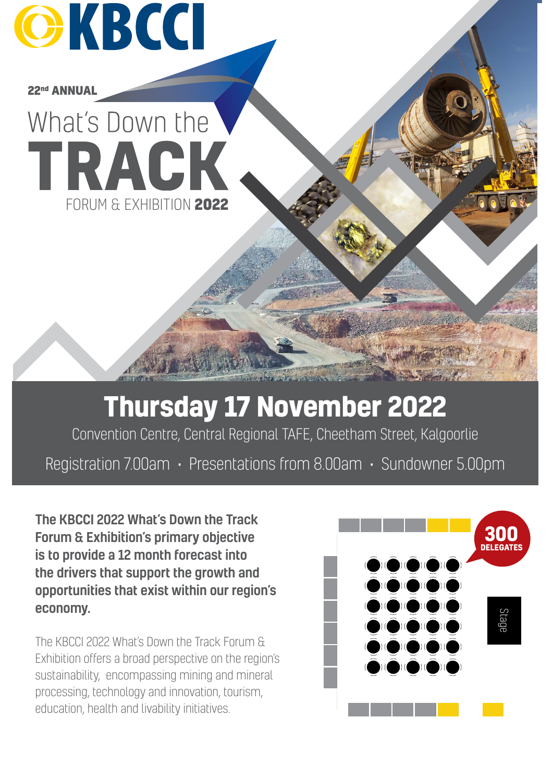

**22nd ANNUAL**

# What's Down the TRACK FORUM & EXHIBITION **2022**

## **Thursday 17 November 2022**

Convention Centre, Central Regional TAFE, Cheetham Street, Kalgoorlie

Registration 7.00am • Presentations from 8.00am • Sundowner 5.00pm

The KBCCI 2022 What's Down the Track Forum & Exhibition's primary objective is to provide a 12 month forecast into the drivers that support the growth and opportunities that exist within our region's economy.

The KBCCI 2022 What's Down the Track Forum & Exhibition offers a broad perspective on the region's sustainability, encompassing mining and mineral processing, technology and innovation, tourism, education, health and livability initiatives.